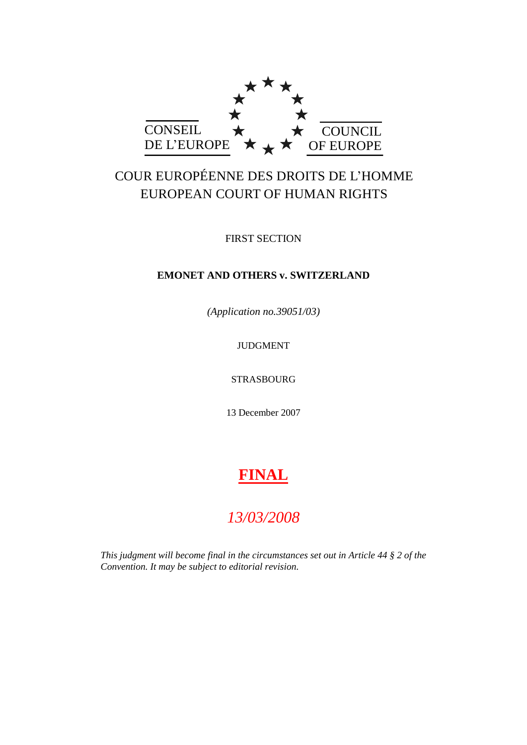

# COUR EUROPÉENNE DES DROITS DE L'HOMME EUROPEAN COURT OF HUMAN RIGHTS

FIRST SECTION

# **EMONET AND OTHERS v. SWITZERLAND**

*(Application no.39051/03)*

JUDGMENT

STRASBOURG

13 December 2007

# **FINAL**

# *13/03/2008*

*This judgment will become final in the circumstances set out in Article 44 § 2 of the Convention. It may be subject to editorial revision.*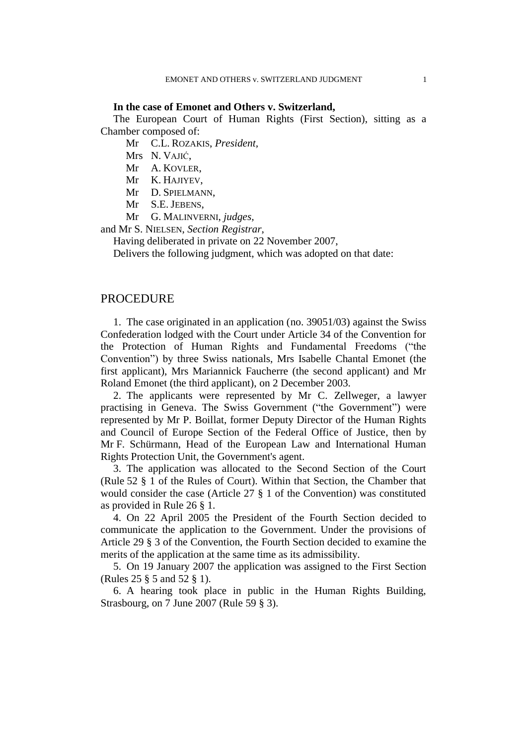#### **In the case of Emonet and Others v. Switzerland,**

The European Court of Human Rights (First Section), sitting as a Chamber composed of:

Mr C.L. ROZAKIS, *President,*

- Mrs N. VAJIĆ,
- Mr A. KOVLER,
- Mr K. HAJIYEV,
- Mr D. SPIELMANN,
- Mr S.E. JEBENS,
- Mr G. MALINVERNI, *judges,*

and Mr S. NIELSEN, *Section Registrar*,

Having deliberated in private on 22 November 2007,

Delivers the following judgment, which was adopted on that date:

## PROCEDURE

1. The case originated in an application (no. 39051/03) against the Swiss Confederation lodged with the Court under Article 34 of the Convention for the Protection of Human Rights and Fundamental Freedoms ("the Convention") by three Swiss nationals, Mrs Isabelle Chantal Emonet (the first applicant), Mrs Mariannick Faucherre (the second applicant) and Mr Roland Emonet (the third applicant), on 2 December 2003.

2. The applicants were represented by Mr C. Zellweger, a lawyer practising in Geneva. The Swiss Government ("the Government") were represented by Mr P. Boillat, former Deputy Director of the Human Rights and Council of Europe Section of the Federal Office of Justice, then by Mr F. Schürmann, Head of the European Law and International Human Rights Protection Unit, the Government's agent.

3. The application was allocated to the Second Section of the Court (Rule 52 § 1 of the Rules of Court). Within that Section, the Chamber that would consider the case (Article 27 § 1 of the Convention) was constituted as provided in Rule 26 § 1.

4. On 22 April 2005 the President of the Fourth Section decided to communicate the application to the Government. Under the provisions of Article 29 § 3 of the Convention, the Fourth Section decided to examine the merits of the application at the same time as its admissibility.

5. On 19 January 2007 the application was assigned to the First Section (Rules 25 § 5 and 52 § 1).

6. A hearing took place in public in the Human Rights Building, Strasbourg, on 7 June 2007 (Rule 59 § 3).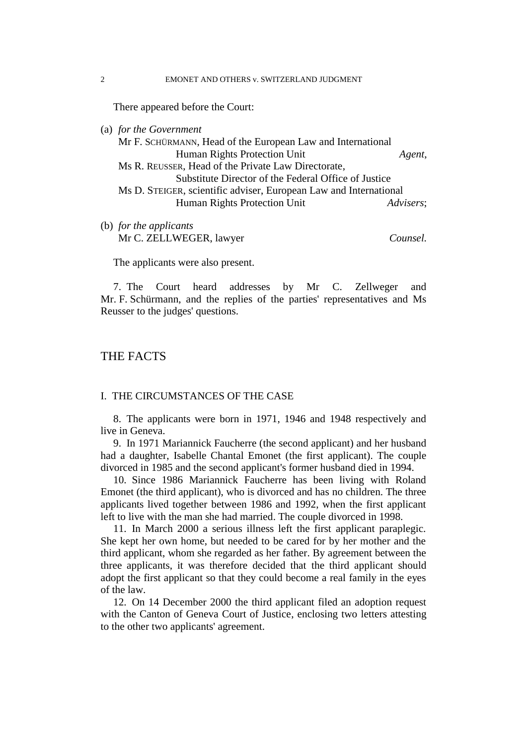There appeared before the Court:

| Mr F. SCHÜRMANN, Head of the European Law and International       |           |
|-------------------------------------------------------------------|-----------|
| Human Rights Protection Unit                                      | Agent,    |
| Ms R. REUSSER, Head of the Private Law Directorate,               |           |
| Substitute Director of the Federal Office of Justice              |           |
| Ms D. STEIGER, scientific adviser, European Law and International |           |
| Human Rights Protection Unit                                      | Advisers; |

(b) *for the applicants* Mr C. ZELLWEGER, lawyer *Counsel.*

The applicants were also present.

7. The Court heard addresses by Mr C. Zellweger and Mr. F. Schürmann, and the replies of the parties' representatives and Ms Reusser to the judges' questions.

# THE FACTS

#### I. THE CIRCUMSTANCES OF THE CASE

8. The applicants were born in 1971, 1946 and 1948 respectively and live in Geneva.

9. In 1971 Mariannick Faucherre (the second applicant) and her husband had a daughter, Isabelle Chantal Emonet (the first applicant). The couple divorced in 1985 and the second applicant's former husband died in 1994.

10. Since 1986 Mariannick Faucherre has been living with Roland Emonet (the third applicant), who is divorced and has no children. The three applicants lived together between 1986 and 1992, when the first applicant left to live with the man she had married. The couple divorced in 1998.

11. In March 2000 a serious illness left the first applicant paraplegic. She kept her own home, but needed to be cared for by her mother and the third applicant, whom she regarded as her father. By agreement between the three applicants, it was therefore decided that the third applicant should adopt the first applicant so that they could become a real family in the eyes of the law.

12. On 14 December 2000 the third applicant filed an adoption request with the Canton of Geneva Court of Justice, enclosing two letters attesting to the other two applicants' agreement.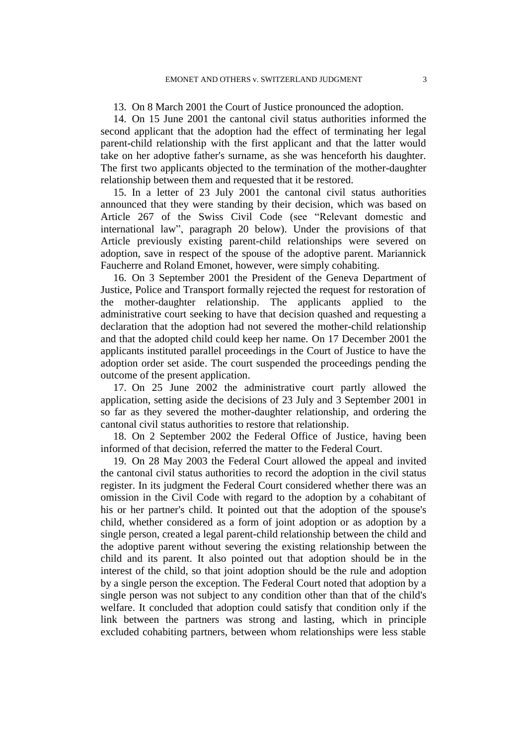#### 13. On 8 March 2001 the Court of Justice pronounced the adoption.

14. On 15 June 2001 the cantonal civil status authorities informed the second applicant that the adoption had the effect of terminating her legal parent-child relationship with the first applicant and that the latter would take on her adoptive father's surname, as she was henceforth his daughter. The first two applicants objected to the termination of the mother-daughter relationship between them and requested that it be restored.

15. In a letter of 23 July 2001 the cantonal civil status authorities announced that they were standing by their decision, which was based on Article 267 of the Swiss Civil Code (see "Relevant domestic and international law", paragraph 20 below). Under the provisions of that Article previously existing parent-child relationships were severed on adoption, save in respect of the spouse of the adoptive parent. Mariannick Faucherre and Roland Emonet, however, were simply cohabiting.

16. On 3 September 2001 the President of the Geneva Department of Justice, Police and Transport formally rejected the request for restoration of the mother-daughter relationship. The applicants applied to the administrative court seeking to have that decision quashed and requesting a declaration that the adoption had not severed the mother-child relationship and that the adopted child could keep her name. On 17 December 2001 the applicants instituted parallel proceedings in the Court of Justice to have the adoption order set aside. The court suspended the proceedings pending the outcome of the present application.

17. On 25 June 2002 the administrative court partly allowed the application, setting aside the decisions of 23 July and 3 September 2001 in so far as they severed the mother-daughter relationship, and ordering the cantonal civil status authorities to restore that relationship.

18. On 2 September 2002 the Federal Office of Justice, having been informed of that decision, referred the matter to the Federal Court.

19. On 28 May 2003 the Federal Court allowed the appeal and invited the cantonal civil status authorities to record the adoption in the civil status register. In its judgment the Federal Court considered whether there was an omission in the Civil Code with regard to the adoption by a cohabitant of his or her partner's child. It pointed out that the adoption of the spouse's child, whether considered as a form of joint adoption or as adoption by a single person, created a legal parent-child relationship between the child and the adoptive parent without severing the existing relationship between the child and its parent. It also pointed out that adoption should be in the interest of the child, so that joint adoption should be the rule and adoption by a single person the exception. The Federal Court noted that adoption by a single person was not subject to any condition other than that of the child's welfare. It concluded that adoption could satisfy that condition only if the link between the partners was strong and lasting, which in principle excluded cohabiting partners, between whom relationships were less stable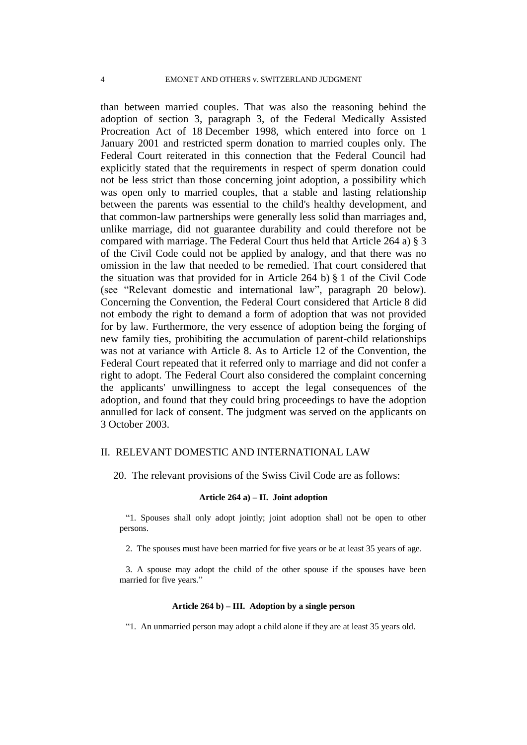than between married couples. That was also the reasoning behind the adoption of section 3, paragraph 3, of the Federal Medically Assisted Procreation Act of 18 December 1998, which entered into force on 1 January 2001 and restricted sperm donation to married couples only. The Federal Court reiterated in this connection that the Federal Council had explicitly stated that the requirements in respect of sperm donation could not be less strict than those concerning joint adoption, a possibility which was open only to married couples, that a stable and lasting relationship between the parents was essential to the child's healthy development, and that common-law partnerships were generally less solid than marriages and, unlike marriage, did not guarantee durability and could therefore not be compared with marriage. The Federal Court thus held that Article 264 a) § 3 of the Civil Code could not be applied by analogy, and that there was no omission in the law that needed to be remedied. That court considered that the situation was that provided for in Article 264 b) § 1 of the Civil Code (see "Relevant domestic and international law", paragraph 20 below). Concerning the Convention, the Federal Court considered that Article 8 did not embody the right to demand a form of adoption that was not provided for by law. Furthermore, the very essence of adoption being the forging of new family ties, prohibiting the accumulation of parent-child relationships was not at variance with Article 8. As to Article 12 of the Convention, the Federal Court repeated that it referred only to marriage and did not confer a right to adopt. The Federal Court also considered the complaint concerning the applicants' unwillingness to accept the legal consequences of the adoption, and found that they could bring proceedings to have the adoption annulled for lack of consent. The judgment was served on the applicants on 3 October 2003.

#### II. RELEVANT DOMESTIC AND INTERNATIONAL LAW

20. The relevant provisions of the Swiss Civil Code are as follows:

#### **Article 264 a) – II. Joint adoption**

"1. Spouses shall only adopt jointly; joint adoption shall not be open to other persons.

2. The spouses must have been married for five years or be at least 35 years of age.

3. A spouse may adopt the child of the other spouse if the spouses have been married for five years."

#### **Article 264 b) – III. Adoption by a single person**

"1. An unmarried person may adopt a child alone if they are at least 35 years old.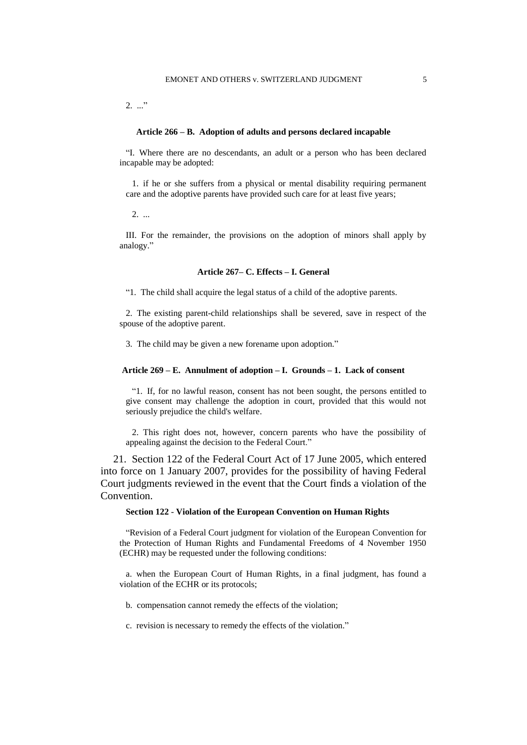2. ..."

#### **Article 266 – B. Adoption of adults and persons declared incapable**

"I. Where there are no descendants, an adult or a person who has been declared incapable may be adopted:

1. if he or she suffers from a physical or mental disability requiring permanent care and the adoptive parents have provided such care for at least five years;

2. ...

III. For the remainder, the provisions on the adoption of minors shall apply by analogy."

#### **Article 267– C. Effects – I. General**

"1. The child shall acquire the legal status of a child of the adoptive parents.

2. The existing parent-child relationships shall be severed, save in respect of the spouse of the adoptive parent.

3. The child may be given a new forename upon adoption."

#### **Article 269 – E. Annulment of adoption – I. Grounds – 1. Lack of consent**

"1. If, for no lawful reason, consent has not been sought, the persons entitled to give consent may challenge the adoption in court, provided that this would not seriously prejudice the child's welfare.

2. This right does not, however, concern parents who have the possibility of appealing against the decision to the Federal Court."

21. Section 122 of the Federal Court Act of 17 June 2005, which entered into force on 1 January 2007, provides for the possibility of having Federal Court judgments reviewed in the event that the Court finds a violation of the Convention.

#### **Section 122** - **Violation of the European Convention on Human Rights**

"Revision of a Federal Court judgment for violation of the European Convention for the Protection of Human Rights and Fundamental Freedoms of 4 November 1950 (ECHR) may be requested under the following conditions:

a. when the European Court of Human Rights, in a final judgment, has found a violation of the ECHR or its protocols;

b. compensation cannot remedy the effects of the violation;

c. revision is necessary to remedy the effects of the violation."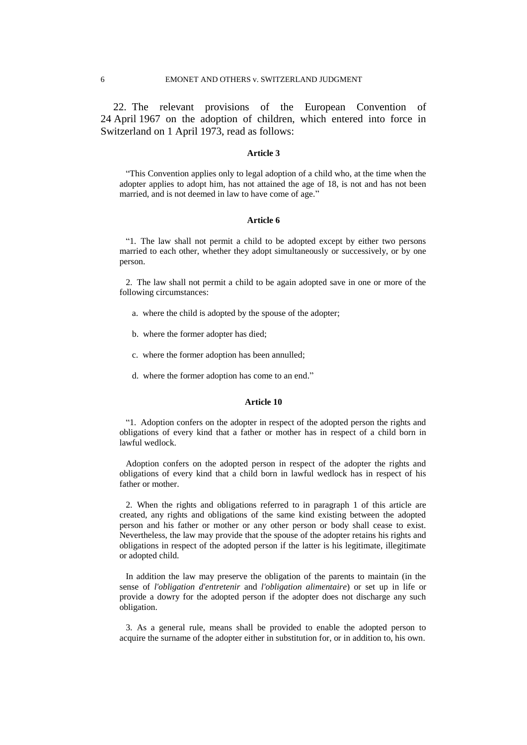22. The relevant provisions of the European Convention of 24 April 1967 on the adoption of children, which entered into force in Switzerland on 1 April 1973, read as follows:

#### **Article 3**

"This Convention applies only to legal adoption of a child who, at the time when the adopter applies to adopt him, has not attained the age of 18, is not and has not been married, and is not deemed in law to have come of age."

#### **Article 6**

"1. The law shall not permit a child to be adopted except by either two persons married to each other, whether they adopt simultaneously or successively, or by one person.

2. The law shall not permit a child to be again adopted save in one or more of the following circumstances:

- a. where the child is adopted by the spouse of the adopter;
- b. where the former adopter has died;
- c. where the former adoption has been annulled;
- d. where the former adoption has come to an end."

#### **Article 10**

"1. Adoption confers on the adopter in respect of the adopted person the rights and obligations of every kind that a father or mother has in respect of a child born in lawful wedlock.

Adoption confers on the adopted person in respect of the adopter the rights and obligations of every kind that a child born in lawful wedlock has in respect of his father or mother.

2. When the rights and obligations referred to in paragraph 1 of this article are created, any rights and obligations of the same kind existing between the adopted person and his father or mother or any other person or body shall cease to exist. Nevertheless, the law may provide that the spouse of the adopter retains his rights and obligations in respect of the adopted person if the latter is his legitimate, illegitimate or adopted child.

In addition the law may preserve the obligation of the parents to maintain (in the sense of *l'obligation d'entretenir* and *l'obligation alimentaire*) or set up in life or provide a dowry for the adopted person if the adopter does not discharge any such obligation.

3. As a general rule, means shall be provided to enable the adopted person to acquire the surname of the adopter either in substitution for, or in addition to, his own.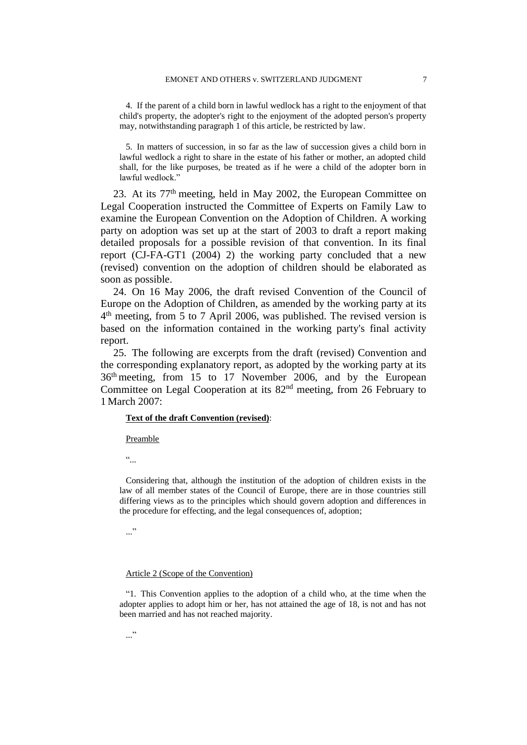4. If the parent of a child born in lawful wedlock has a right to the enjoyment of that child's property, the adopter's right to the enjoyment of the adopted person's property may, notwithstanding paragraph 1 of this article, be restricted by law.

5. In matters of succession, in so far as the law of succession gives a child born in lawful wedlock a right to share in the estate of his father or mother, an adopted child shall, for the like purposes, be treated as if he were a child of the adopter born in lawful wedlock."

23. At its 77th meeting, held in May 2002, the European Committee on Legal Cooperation instructed the Committee of Experts on Family Law to examine the European Convention on the Adoption of Children. A working party on adoption was set up at the start of 2003 to draft a report making detailed proposals for a possible revision of that convention. In its final report (CJ-FA-GT1 (2004) 2) the working party concluded that a new (revised) convention on the adoption of children should be elaborated as soon as possible.

24. On 16 May 2006, the draft revised Convention of the Council of Europe on the Adoption of Children, as amended by the working party at its 4 th meeting, from 5 to 7 April 2006, was published. The revised version is based on the information contained in the working party's final activity report.

25. The following are excerpts from the draft (revised) Convention and the corresponding explanatory report, as adopted by the working party at its 36th meeting, from 15 to 17 November 2006, and by the European Committee on Legal Cooperation at its 82<sup>nd</sup> meeting, from 26 February to 1 March 2007:

#### **Text of the draft Convention (revised)**:

Preamble

 $\ddot{\cdot}$  ...

Considering that, although the institution of the adoption of children exists in the law of all member states of the Council of Europe, there are in those countries still differing views as to the principles which should govern adoption and differences in the procedure for effecting, and the legal consequences of, adoption;

..."

#### Article 2 (Scope of the Convention)

"1. This Convention applies to the adoption of a child who, at the time when the adopter applies to adopt him or her, has not attained the age of 18, is not and has not been married and has not reached majority.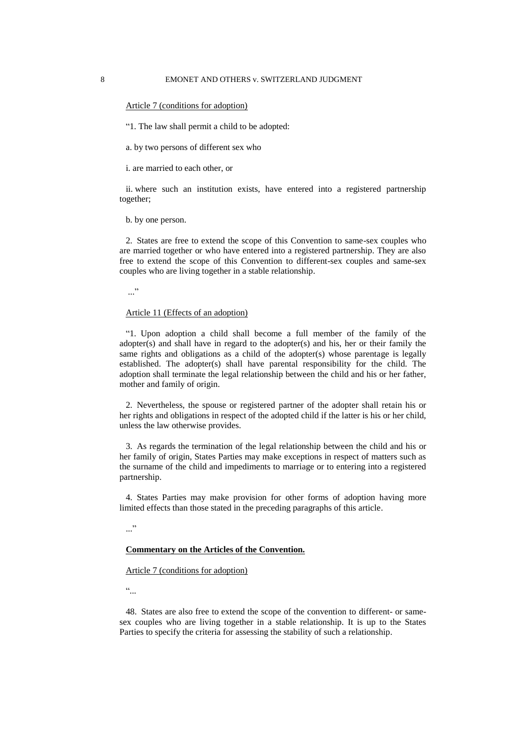Article 7 (conditions for adoption)

"1. The law shall permit a child to be adopted:

a. by two persons of different sex who

i. are married to each other, or

ii. where such an institution exists, have entered into a registered partnership together;

b. by one person.

2. States are free to extend the scope of this Convention to same-sex couples who are married together or who have entered into a registered partnership. They are also free to extend the scope of this Convention to different-sex couples and same-sex couples who are living together in a stable relationship.

..."

#### Article 11 (Effects of an adoption)

"1. Upon adoption a child shall become a full member of the family of the adopter(s) and shall have in regard to the adopter(s) and his, her or their family the same rights and obligations as a child of the adopter(s) whose parentage is legally established. The adopter(s) shall have parental responsibility for the child. The adoption shall terminate the legal relationship between the child and his or her father, mother and family of origin.

2. Nevertheless, the spouse or registered partner of the adopter shall retain his or her rights and obligations in respect of the adopted child if the latter is his or her child, unless the law otherwise provides.

3. As regards the termination of the legal relationship between the child and his or her family of origin, States Parties may make exceptions in respect of matters such as the surname of the child and impediments to marriage or to entering into a registered partnership.

4. States Parties may make provision for other forms of adoption having more limited effects than those stated in the preceding paragraphs of this article.

..."

#### **Commentary on the Articles of the Convention.**

Article 7 (conditions for adoption)

"...

48. States are also free to extend the scope of the convention to different- or samesex couples who are living together in a stable relationship. It is up to the States Parties to specify the criteria for assessing the stability of such a relationship.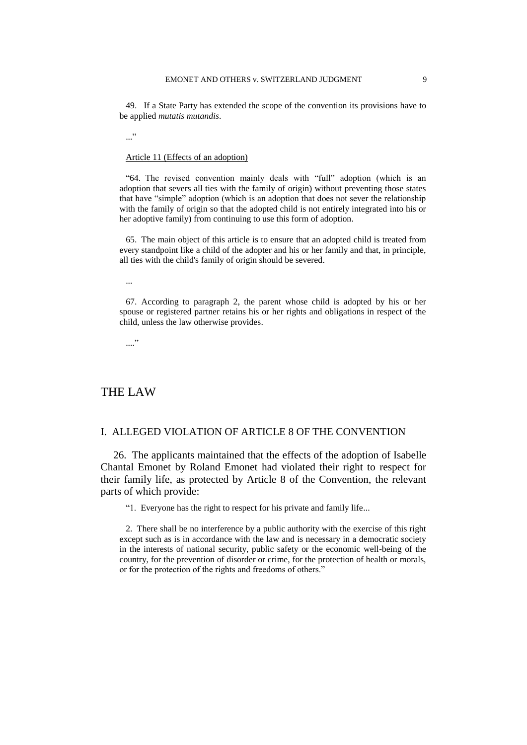49. If a State Party has extended the scope of the convention its provisions have to be applied *mutatis mutandis*.

..."

#### Article 11 (Effects of an adoption)

"64. The revised convention mainly deals with "full" adoption (which is an adoption that severs all ties with the family of origin) without preventing those states that have "simple" adoption (which is an adoption that does not sever the relationship with the family of origin so that the adopted child is not entirely integrated into his or her adoptive family) from continuing to use this form of adoption.

65. The main object of this article is to ensure that an adopted child is treated from every standpoint like a child of the adopter and his or her family and that, in principle, all ties with the child's family of origin should be severed.

...

67. According to paragraph 2, the parent whose child is adopted by his or her spouse or registered partner retains his or her rights and obligations in respect of the child, unless the law otherwise provides.

...."

# THE LAW

#### I. ALLEGED VIOLATION OF ARTICLE 8 OF THE CONVENTION

26. The applicants maintained that the effects of the adoption of Isabelle Chantal Emonet by Roland Emonet had violated their right to respect for their family life, as protected by Article 8 of the Convention, the relevant parts of which provide:

"1. Everyone has the right to respect for his private and family life...

2. There shall be no interference by a public authority with the exercise of this right except such as is in accordance with the law and is necessary in a democratic society in the interests of national security, public safety or the economic well-being of the country, for the prevention of disorder or crime, for the protection of health or morals, or for the protection of the rights and freedoms of others."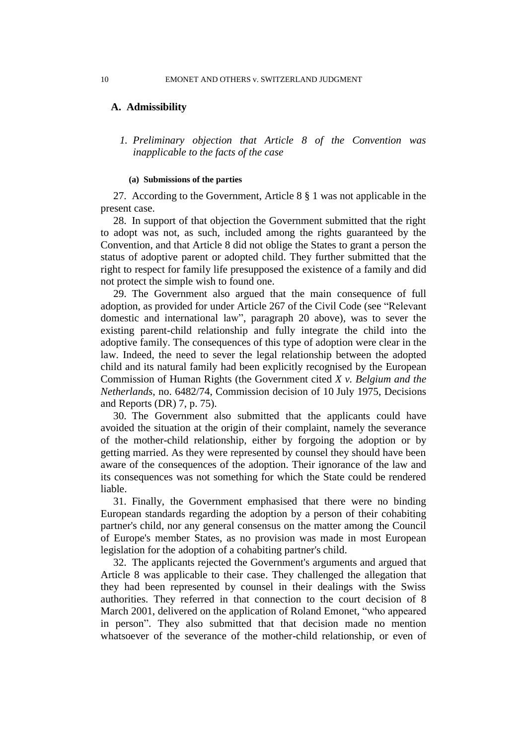#### **A. Admissibility**

*1. Preliminary objection that Article 8 of the Convention was inapplicable to the facts of the case*

#### **(a) Submissions of the parties**

27. According to the Government, Article 8 § 1 was not applicable in the present case.

28. In support of that objection the Government submitted that the right to adopt was not, as such, included among the rights guaranteed by the Convention, and that Article 8 did not oblige the States to grant a person the status of adoptive parent or adopted child. They further submitted that the right to respect for family life presupposed the existence of a family and did not protect the simple wish to found one.

29. The Government also argued that the main consequence of full adoption, as provided for under Article 267 of the Civil Code (see "Relevant domestic and international law", paragraph 20 above), was to sever the existing parent-child relationship and fully integrate the child into the adoptive family. The consequences of this type of adoption were clear in the law. Indeed, the need to sever the legal relationship between the adopted child and its natural family had been explicitly recognised by the European Commission of Human Rights (the Government cited *X v. Belgium and the Netherlands*, no. 6482/74, Commission decision of 10 July 1975, Decisions and Reports (DR) 7, p. 75).

30. The Government also submitted that the applicants could have avoided the situation at the origin of their complaint, namely the severance of the mother-child relationship, either by forgoing the adoption or by getting married. As they were represented by counsel they should have been aware of the consequences of the adoption. Their ignorance of the law and its consequences was not something for which the State could be rendered liable.

31. Finally, the Government emphasised that there were no binding European standards regarding the adoption by a person of their cohabiting partner's child, nor any general consensus on the matter among the Council of Europe's member States, as no provision was made in most European legislation for the adoption of a cohabiting partner's child.

32. The applicants rejected the Government's arguments and argued that Article 8 was applicable to their case. They challenged the allegation that they had been represented by counsel in their dealings with the Swiss authorities. They referred in that connection to the court decision of 8 March 2001, delivered on the application of Roland Emonet, "who appeared in person". They also submitted that that decision made no mention whatsoever of the severance of the mother-child relationship, or even of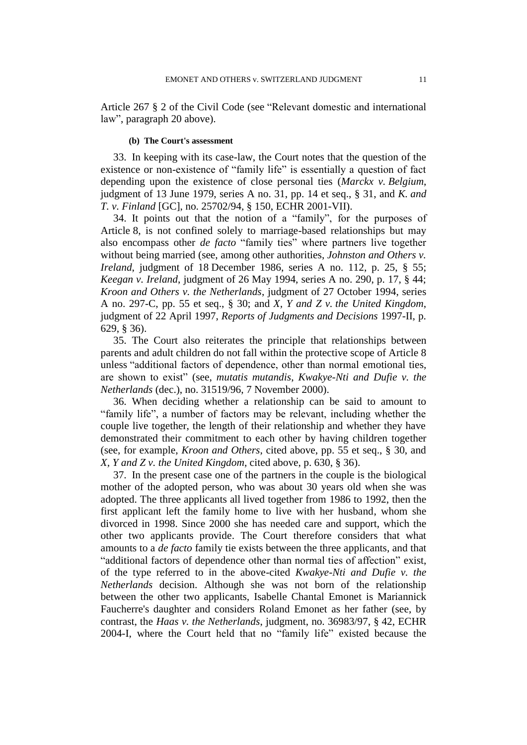Article 267 § 2 of the Civil Code (see "Relevant domestic and international law", paragraph 20 above).

#### **(b) The Court's assessment**

33. In keeping with its case-law, the Court notes that the question of the existence or non-existence of "family life" is essentially a question of fact depending upon the existence of close personal ties (*Marckx v. Belgium*, judgment of 13 June 1979, series A no. 31, pp. 14 et seq., § 31, and *K. and T. v. Finland* [GC], no. 25702/94, § 150, ECHR 2001-VII).

34. It points out that the notion of a "family", for the purposes of Article 8, is not confined solely to marriage-based relationships but may also encompass other *de facto* "family ties" where partners live together without being married (see, among other authorities, *Johnston and Others v. Ireland*, judgment of 18 December 1986, series A no. 112, p. 25, § 55; *Keegan v. Ireland*, judgment of 26 May 1994, series A no. 290, p. 17, § 44; *Kroon and Others v. the Netherlands*, judgment of 27 October 1994, series A no. 297-C, pp. 55 et seq., § 30; and *X, Y and Z v. the United Kingdom*, judgment of 22 April 1997, *Reports of Judgments and Decisions* 1997-II, p. 629, § 36).

35. The Court also reiterates the principle that relationships between parents and adult children do not fall within the protective scope of Article 8 unless "additional factors of dependence, other than normal emotional ties, are shown to exist" (see, *mutatis mutandis*, *Kwakye-Nti and Dufie v. the Netherlands* (dec.), no. 31519/96, 7 November 2000).

36. When deciding whether a relationship can be said to amount to "family life", a number of factors may be relevant, including whether the couple live together, the length of their relationship and whether they have demonstrated their commitment to each other by having children together (see, for example, *Kroon and Others*, cited above, pp. 55 et seq., § 30, and *X, Y and Z v. the United Kingdom*, cited above, p. 630, § 36).

37. In the present case one of the partners in the couple is the biological mother of the adopted person, who was about 30 years old when she was adopted. The three applicants all lived together from 1986 to 1992, then the first applicant left the family home to live with her husband, whom she divorced in 1998. Since 2000 she has needed care and support, which the other two applicants provide. The Court therefore considers that what amounts to a *de facto* family tie exists between the three applicants, and that "additional factors of dependence other than normal ties of affection" exist, of the type referred to in the above-cited *Kwakye-Nti and Dufie v. the Netherlands* decision. Although she was not born of the relationship between the other two applicants, Isabelle Chantal Emonet is Mariannick Faucherre's daughter and considers Roland Emonet as her father (see, by contrast, the *Haas v. the Netherlands*, judgment, no. 36983/97, § 42, ECHR 2004-I, where the Court held that no "family life" existed because the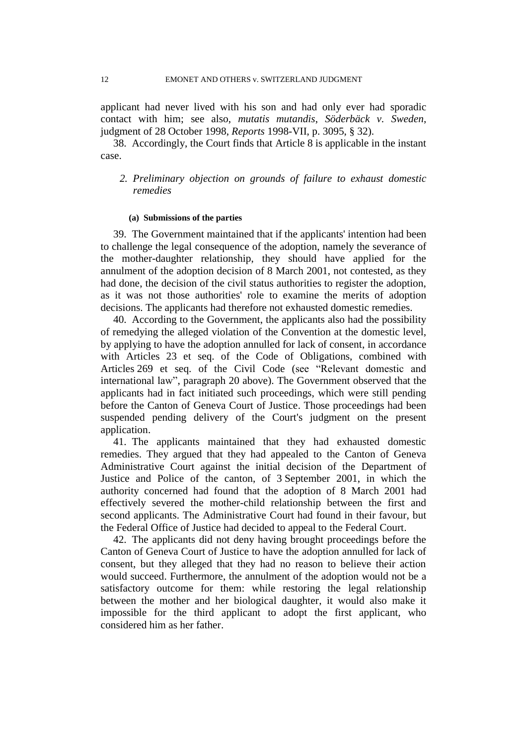applicant had never lived with his son and had only ever had sporadic contact with him; see also, *mutatis mutandis*, *Söderbäck v. Sweden*, judgment of 28 October 1998, *Reports* 1998-VII, p. 3095, § 32).

38. Accordingly, the Court finds that Article 8 is applicable in the instant case.

# *2. Preliminary objection on grounds of failure to exhaust domestic remedies*

#### **(a) Submissions of the parties**

39. The Government maintained that if the applicants' intention had been to challenge the legal consequence of the adoption, namely the severance of the mother-daughter relationship, they should have applied for the annulment of the adoption decision of 8 March 2001, not contested, as they had done, the decision of the civil status authorities to register the adoption, as it was not those authorities' role to examine the merits of adoption decisions. The applicants had therefore not exhausted domestic remedies.

40. According to the Government, the applicants also had the possibility of remedying the alleged violation of the Convention at the domestic level, by applying to have the adoption annulled for lack of consent, in accordance with Articles 23 et seq. of the Code of Obligations, combined with Articles 269 et seq. of the Civil Code (see "Relevant domestic and international law", paragraph 20 above). The Government observed that the applicants had in fact initiated such proceedings, which were still pending before the Canton of Geneva Court of Justice. Those proceedings had been suspended pending delivery of the Court's judgment on the present application.

41. The applicants maintained that they had exhausted domestic remedies. They argued that they had appealed to the Canton of Geneva Administrative Court against the initial decision of the Department of Justice and Police of the canton, of 3 September 2001, in which the authority concerned had found that the adoption of 8 March 2001 had effectively severed the mother-child relationship between the first and second applicants. The Administrative Court had found in their favour, but the Federal Office of Justice had decided to appeal to the Federal Court.

42. The applicants did not deny having brought proceedings before the Canton of Geneva Court of Justice to have the adoption annulled for lack of consent, but they alleged that they had no reason to believe their action would succeed. Furthermore, the annulment of the adoption would not be a satisfactory outcome for them: while restoring the legal relationship between the mother and her biological daughter, it would also make it impossible for the third applicant to adopt the first applicant, who considered him as her father.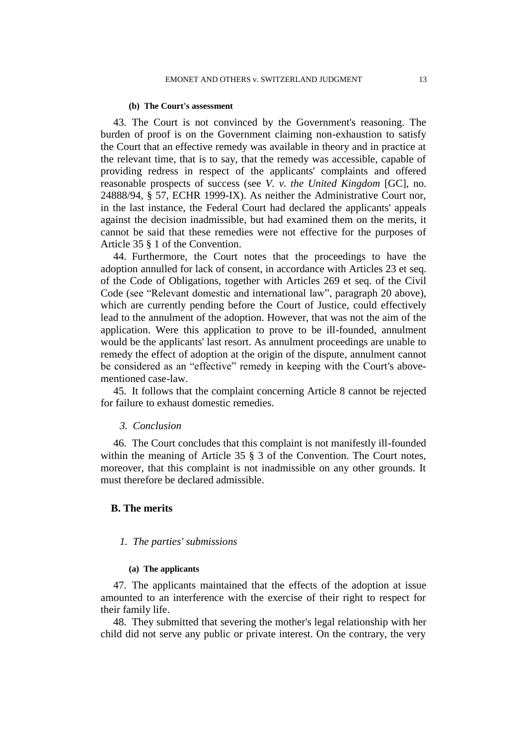#### **(b) The Court's assessment**

43. The Court is not convinced by the Government's reasoning. The burden of proof is on the Government claiming non-exhaustion to satisfy the Court that an effective remedy was available in theory and in practice at the relevant time, that is to say, that the remedy was accessible, capable of providing redress in respect of the applicants' complaints and offered reasonable prospects of success (see *V. v. the United Kingdom* [GC], no. 24888/94, § 57, ECHR 1999-IX). As neither the Administrative Court nor, in the last instance, the Federal Court had declared the applicants' appeals against the decision inadmissible, but had examined them on the merits, it cannot be said that these remedies were not effective for the purposes of Article 35 § 1 of the Convention.

44. Furthermore, the Court notes that the proceedings to have the adoption annulled for lack of consent, in accordance with Articles 23 et seq. of the Code of Obligations, together with Articles 269 et seq. of the Civil Code (see "Relevant domestic and international law", paragraph 20 above), which are currently pending before the Court of Justice, could effectively lead to the annulment of the adoption. However, that was not the aim of the application. Were this application to prove to be ill-founded, annulment would be the applicants' last resort. As annulment proceedings are unable to remedy the effect of adoption at the origin of the dispute, annulment cannot be considered as an "effective" remedy in keeping with the Court's abovementioned case-law.

45. It follows that the complaint concerning Article 8 cannot be rejected for failure to exhaust domestic remedies.

#### *3. Conclusion*

46. The Court concludes that this complaint is not manifestly ill-founded within the meaning of Article 35  $\S$  3 of the Convention. The Court notes, moreover, that this complaint is not inadmissible on any other grounds. It must therefore be declared admissible.

#### **B. The merits**

#### *1. The parties' submissions*

#### **(a) The applicants**

47. The applicants maintained that the effects of the adoption at issue amounted to an interference with the exercise of their right to respect for their family life.

48. They submitted that severing the mother's legal relationship with her child did not serve any public or private interest. On the contrary, the very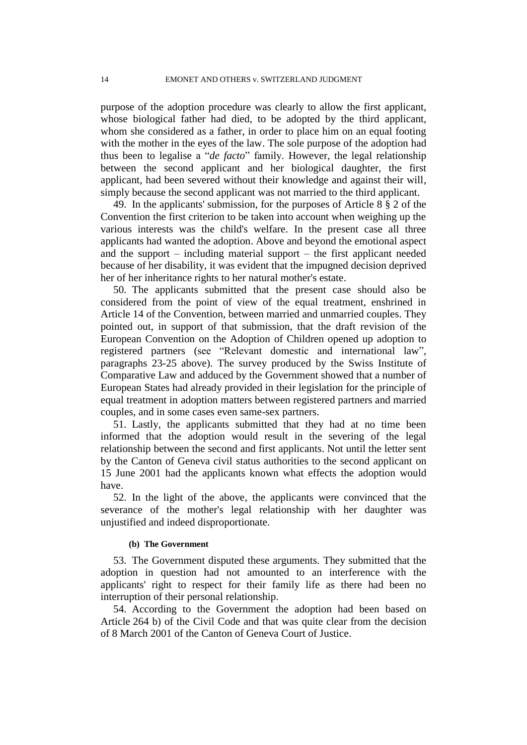purpose of the adoption procedure was clearly to allow the first applicant, whose biological father had died, to be adopted by the third applicant, whom she considered as a father, in order to place him on an equal footing with the mother in the eyes of the law. The sole purpose of the adoption had thus been to legalise a "*de facto*" family. However, the legal relationship between the second applicant and her biological daughter, the first applicant, had been severed without their knowledge and against their will, simply because the second applicant was not married to the third applicant.

49. In the applicants' submission, for the purposes of Article 8 § 2 of the Convention the first criterion to be taken into account when weighing up the various interests was the child's welfare. In the present case all three applicants had wanted the adoption. Above and beyond the emotional aspect and the support – including material support – the first applicant needed because of her disability, it was evident that the impugned decision deprived her of her inheritance rights to her natural mother's estate.

50.The applicants submitted that the present case should also be considered from the point of view of the equal treatment, enshrined in Article 14 of the Convention, between married and unmarried couples. They pointed out, in support of that submission, that the draft revision of the European Convention on the Adoption of Children opened up adoption to registered partners (see "Relevant domestic and international law", paragraphs 23-25 above). The survey produced by the Swiss Institute of Comparative Law and adduced by the Government showed that a number of European States had already provided in their legislation for the principle of equal treatment in adoption matters between registered partners and married couples, and in some cases even same-sex partners.

51. Lastly, the applicants submitted that they had at no time been informed that the adoption would result in the severing of the legal relationship between the second and first applicants. Not until the letter sent by the Canton of Geneva civil status authorities to the second applicant on 15 June 2001 had the applicants known what effects the adoption would have.

52. In the light of the above, the applicants were convinced that the severance of the mother's legal relationship with her daughter was unjustified and indeed disproportionate.

#### **(b) The Government**

53. The Government disputed these arguments. They submitted that the adoption in question had not amounted to an interference with the applicants' right to respect for their family life as there had been no interruption of their personal relationship.

54. According to the Government the adoption had been based on Article 264 b) of the Civil Code and that was quite clear from the decision of 8 March 2001 of the Canton of Geneva Court of Justice.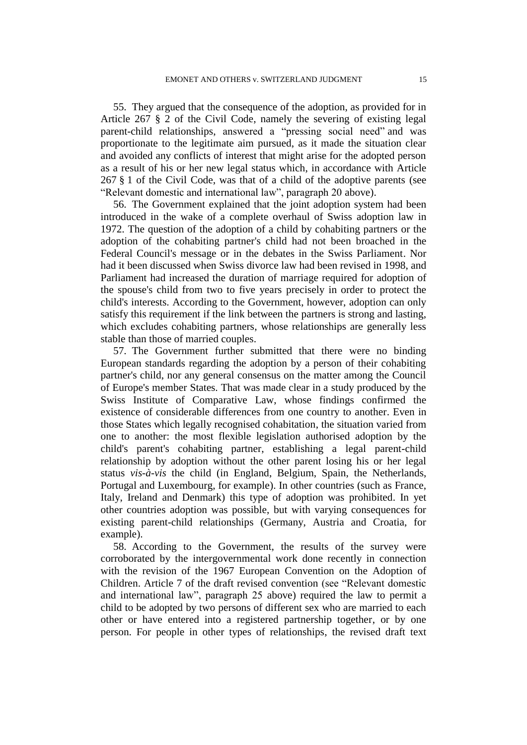55. They argued that the consequence of the adoption, as provided for in Article 267 § 2 of the Civil Code, namely the severing of existing legal parent-child relationships, answered a "pressing social need" and was proportionate to the legitimate aim pursued, as it made the situation clear and avoided any conflicts of interest that might arise for the adopted person as a result of his or her new legal status which, in accordance with Article 267 § 1 of the Civil Code, was that of a child of the adoptive parents (see "Relevant domestic and international law", paragraph 20 above).

56. The Government explained that the joint adoption system had been introduced in the wake of a complete overhaul of Swiss adoption law in 1972. The question of the adoption of a child by cohabiting partners or the adoption of the cohabiting partner's child had not been broached in the Federal Council's message or in the debates in the Swiss Parliament. Nor had it been discussed when Swiss divorce law had been revised in 1998, and Parliament had increased the duration of marriage required for adoption of the spouse's child from two to five years precisely in order to protect the child's interests. According to the Government, however, adoption can only satisfy this requirement if the link between the partners is strong and lasting, which excludes cohabiting partners, whose relationships are generally less stable than those of married couples.

57. The Government further submitted that there were no binding European standards regarding the adoption by a person of their cohabiting partner's child, nor any general consensus on the matter among the Council of Europe's member States. That was made clear in a study produced by the Swiss Institute of Comparative Law, whose findings confirmed the existence of considerable differences from one country to another. Even in those States which legally recognised cohabitation, the situation varied from one to another: the most flexible legislation authorised adoption by the child's parent's cohabiting partner, establishing a legal parent-child relationship by adoption without the other parent losing his or her legal status *vis-à-vis* the child (in England, Belgium, Spain, the Netherlands, Portugal and Luxembourg, for example). In other countries (such as France, Italy, Ireland and Denmark) this type of adoption was prohibited. In yet other countries adoption was possible, but with varying consequences for existing parent-child relationships (Germany, Austria and Croatia, for example).

58. According to the Government, the results of the survey were corroborated by the intergovernmental work done recently in connection with the revision of the 1967 European Convention on the Adoption of Children. Article 7 of the draft revised convention (see "Relevant domestic and international law", paragraph 25 above) required the law to permit a child to be adopted by two persons of different sex who are married to each other or have entered into a registered partnership together, or by one person. For people in other types of relationships, the revised draft text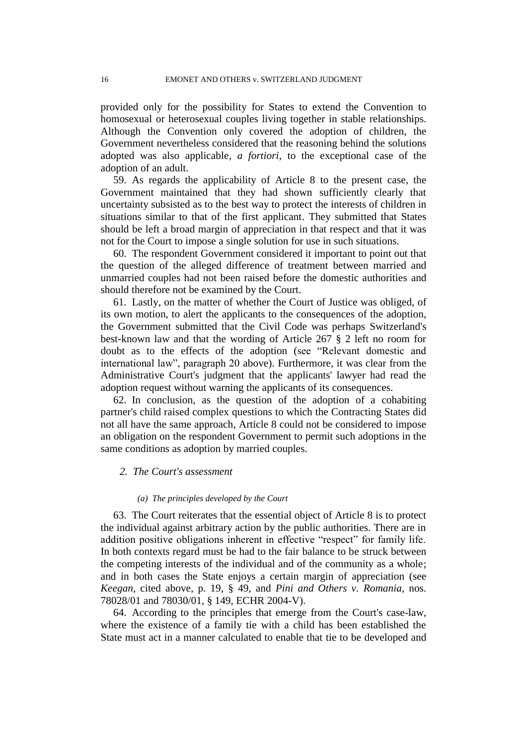provided only for the possibility for States to extend the Convention to homosexual or heterosexual couples living together in stable relationships. Although the Convention only covered the adoption of children, the Government nevertheless considered that the reasoning behind the solutions adopted was also applicable, *a fortiori*, to the exceptional case of the adoption of an adult.

59. As regards the applicability of Article 8 to the present case, the Government maintained that they had shown sufficiently clearly that uncertainty subsisted as to the best way to protect the interests of children in situations similar to that of the first applicant. They submitted that States should be left a broad margin of appreciation in that respect and that it was not for the Court to impose a single solution for use in such situations.

60. The respondent Government considered it important to point out that the question of the alleged difference of treatment between married and unmarried couples had not been raised before the domestic authorities and should therefore not be examined by the Court.

61. Lastly, on the matter of whether the Court of Justice was obliged, of its own motion, to alert the applicants to the consequences of the adoption, the Government submitted that the Civil Code was perhaps Switzerland's best-known law and that the wording of Article 267 § 2 left no room for doubt as to the effects of the adoption (see "Relevant domestic and international law", paragraph 20 above). Furthermore, it was clear from the Administrative Court's judgment that the applicants' lawyer had read the adoption request without warning the applicants of its consequences.

62. In conclusion, as the question of the adoption of a cohabiting partner's child raised complex questions to which the Contracting States did not all have the same approach, Article 8 could not be considered to impose an obligation on the respondent Government to permit such adoptions in the same conditions as adoption by married couples.

### *2. The Court's assessment*

#### *(a) The principles developed by the Court*

63. The Court reiterates that the essential object of Article 8 is to protect the individual against arbitrary action by the public authorities. There are in addition positive obligations inherent in effective "respect" for family life. In both contexts regard must be had to the fair balance to be struck between the competing interests of the individual and of the community as a whole; and in both cases the State enjoys a certain margin of appreciation (see *Keegan*, cited above, p. 19, § 49, and *Pini and Others v. Romania*, nos. 78028/01 and 78030/01, § 149, ECHR 2004-V).

64. According to the principles that emerge from the Court's case-law, where the existence of a family tie with a child has been established the State must act in a manner calculated to enable that tie to be developed and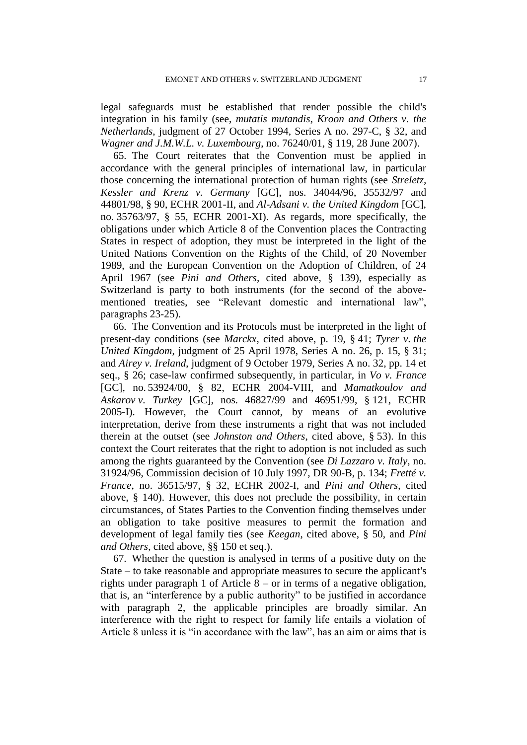legal safeguards must be established that render possible the child's integration in his family (see, *mutatis mutandis*, *Kroon and Others v. the Netherlands*, judgment of 27 October 1994, Series A no. 297-C, § 32, and *Wagner and J.M.W.L. v. Luxembourg*, no. 76240/01, § 119, 28 June 2007).

65. The Court reiterates that the Convention must be applied in accordance with the general principles of international law, in particular those concerning the international protection of human rights (see *Streletz, Kessler and Krenz v. Germany* [GC], nos. 34044/96, 35532/97 and 44801/98, § 90, ECHR 2001-II, and *Al-Adsani v. the United Kingdom* [GC], no. 35763/97, § 55, ECHR 2001-XI). As regards, more specifically, the obligations under which Article 8 of the Convention places the Contracting States in respect of adoption, they must be interpreted in the light of the United Nations Convention on the Rights of the Child, of 20 November 1989, and the European Convention on the Adoption of Children, of 24 April 1967 (see *Pini and Others,* cited above, § 139), especially as Switzerland is party to both instruments (for the second of the abovementioned treaties, see "Relevant domestic and international law", paragraphs 23-25).

66. The Convention and its Protocols must be interpreted in the light of present-day conditions (see *Marckx*, cited above, p. 19, § 41; *Tyrer v. the United Kingdom*, judgment of 25 April 1978, Series A no. 26, p. 15, § 31; and *Airey v. Ireland*, judgment of 9 October 1979, Series A no. 32, pp. 14 et seq., § 26; case-law confirmed subsequently, in particular, in *Vo v. France*  [GC], no. 53924/00, § 82, ECHR 2004-VIII, and *Mamatkoulov and Askarov v. Turkey* [GC], nos. 46827/99 and 46951/99, § 121, ECHR 2005-I). However, the Court cannot, by means of an evolutive interpretation, derive from these instruments a right that was not included therein at the outset (see *Johnston and Others*, cited above, § 53). In this context the Court reiterates that the right to adoption is not included as such among the rights guaranteed by the Convention (see *Di Lazzaro v. Italy*, no. 31924/96, Commission decision of 10 July 1997, DR 90-B, p. 134; *Fretté v. France*, no. 36515/97, § 32, ECHR 2002-I, and *Pini and Others*, cited above, § 140). However, this does not preclude the possibility, in certain circumstances, of States Parties to the Convention finding themselves under an obligation to take positive measures to permit the formation and development of legal family ties (see *Keegan*, cited above, § 50, and *Pini and Others*, cited above, §§ 150 et seq.).

67. Whether the question is analysed in terms of a positive duty on the State – to take reasonable and appropriate measures to secure the applicant's rights under paragraph 1 of Article 8 – or in terms of a negative obligation, that is, an "interference by a public authority" to be justified in accordance with paragraph 2, the applicable principles are broadly similar. An interference with the right to respect for family life entails a violation of Article 8 unless it is "in accordance with the law", has an aim or aims that is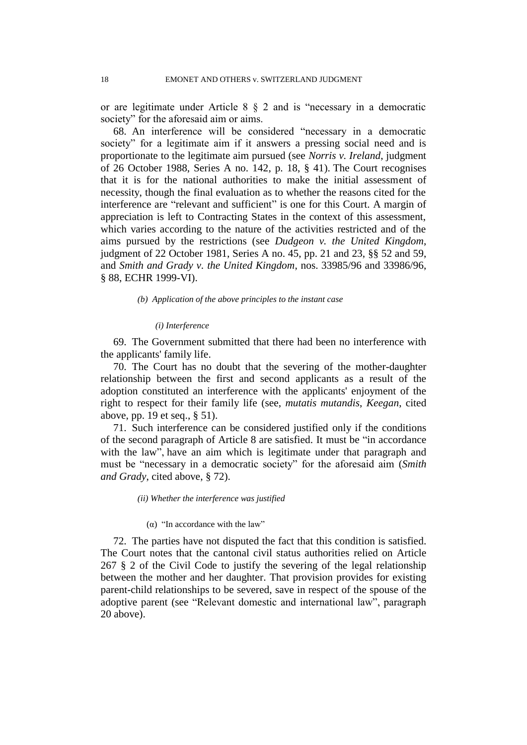or are legitimate under Article 8 § 2 and is "necessary in a democratic society" for the aforesaid aim or aims.

68. An interference will be considered "necessary in a democratic society" for a legitimate aim if it answers a pressing social need and is proportionate to the legitimate aim pursued (see *Norris v. Ireland*, judgment of 26 October 1988, Series A no. 142, p. 18, § 41). The Court recognises that it is for the national authorities to make the initial assessment of necessity, though the final evaluation as to whether the reasons cited for the interference are "relevant and sufficient" is one for this Court. A margin of appreciation is left to Contracting States in the context of this assessment, which varies according to the nature of the activities restricted and of the aims pursued by the restrictions (see *Dudgeon v. the United Kingdom*, judgment of 22 October 1981, Series A no. 45, pp. 21 and 23, §§ 52 and 59, and *Smith and Grady v. the United Kingdom*, nos. 33985/96 and 33986/96, § 88, ECHR 1999-VI).

*(b) Application of the above principles to the instant case*

#### *(i) Interference*

69. The Government submitted that there had been no interference with the applicants' family life.

70. The Court has no doubt that the severing of the mother-daughter relationship between the first and second applicants as a result of the adoption constituted an interference with the applicants' enjoyment of the right to respect for their family life (see, *mutatis mutandis*, *Keegan*, cited above, pp. 19 et seq., § 51).

71. Such interference can be considered justified only if the conditions of the second paragraph of Article 8 are satisfied. It must be "in accordance with the law", have an aim which is legitimate under that paragraph and must be "necessary in a democratic society" for the aforesaid aim (*Smith and Grady*, cited above, § 72).

#### *(ii) Whether the interference was justified*

(α) "In accordance with the law"

72. The parties have not disputed the fact that this condition is satisfied. The Court notes that the cantonal civil status authorities relied on Article 267 § 2 of the Civil Code to justify the severing of the legal relationship between the mother and her daughter. That provision provides for existing parent-child relationships to be severed, save in respect of the spouse of the adoptive parent (see "Relevant domestic and international law", paragraph 20 above).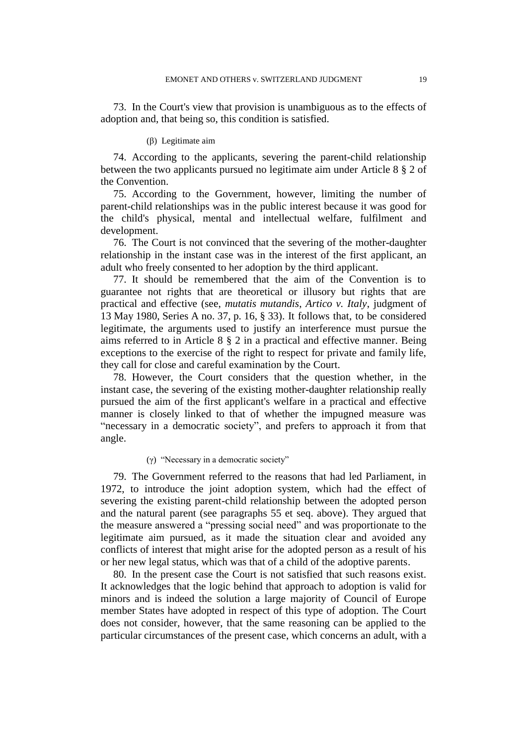73. In the Court's view that provision is unambiguous as to the effects of adoption and, that being so, this condition is satisfied.

#### (β) Legitimate aim

74. According to the applicants, severing the parent-child relationship between the two applicants pursued no legitimate aim under Article 8 § 2 of the Convention.

75. According to the Government, however, limiting the number of parent-child relationships was in the public interest because it was good for the child's physical, mental and intellectual welfare, fulfilment and development.

76. The Court is not convinced that the severing of the mother-daughter relationship in the instant case was in the interest of the first applicant, an adult who freely consented to her adoption by the third applicant.

77. It should be remembered that the aim of the Convention is to guarantee not rights that are theoretical or illusory but rights that are practical and effective (see, *mutatis mutandis*, *Artico v. Italy*, judgment of 13 May 1980, Series A no. 37, p. 16, § 33). It follows that, to be considered legitimate, the arguments used to justify an interference must pursue the aims referred to in Article 8 § 2 in a practical and effective manner. Being exceptions to the exercise of the right to respect for private and family life, they call for close and careful examination by the Court.

78. However, the Court considers that the question whether, in the instant case, the severing of the existing mother-daughter relationship really pursued the aim of the first applicant's welfare in a practical and effective manner is closely linked to that of whether the impugned measure was "necessary in a democratic society", and prefers to approach it from that angle.

#### (γ) "Necessary in a democratic society"

79. The Government referred to the reasons that had led Parliament, in 1972, to introduce the joint adoption system, which had the effect of severing the existing parent-child relationship between the adopted person and the natural parent (see paragraphs 55 et seq. above). They argued that the measure answered a "pressing social need" and was proportionate to the legitimate aim pursued, as it made the situation clear and avoided any conflicts of interest that might arise for the adopted person as a result of his or her new legal status, which was that of a child of the adoptive parents.

80. In the present case the Court is not satisfied that such reasons exist. It acknowledges that the logic behind that approach to adoption is valid for minors and is indeed the solution a large majority of Council of Europe member States have adopted in respect of this type of adoption. The Court does not consider, however, that the same reasoning can be applied to the particular circumstances of the present case, which concerns an adult, with a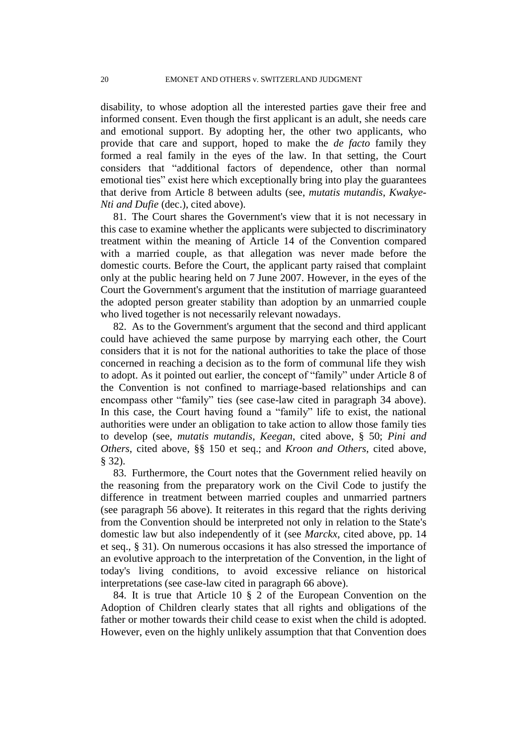disability, to whose adoption all the interested parties gave their free and informed consent. Even though the first applicant is an adult, she needs care and emotional support. By adopting her, the other two applicants, who provide that care and support, hoped to make the *de facto* family they formed a real family in the eyes of the law. In that setting, the Court considers that "additional factors of dependence, other than normal emotional ties" exist here which exceptionally bring into play the guarantees that derive from Article 8 between adults (see, *mutatis mutandis*, *Kwakye-Nti and Dufie* (dec.), cited above).

81. The Court shares the Government's view that it is not necessary in this case to examine whether the applicants were subjected to discriminatory treatment within the meaning of Article 14 of the Convention compared with a married couple, as that allegation was never made before the domestic courts. Before the Court, the applicant party raised that complaint only at the public hearing held on 7 June 2007. However, in the eyes of the Court the Government's argument that the institution of marriage guaranteed the adopted person greater stability than adoption by an unmarried couple who lived together is not necessarily relevant nowadays.

82. As to the Government's argument that the second and third applicant could have achieved the same purpose by marrying each other, the Court considers that it is not for the national authorities to take the place of those concerned in reaching a decision as to the form of communal life they wish to adopt. As it pointed out earlier, the concept of "family" under Article 8 of the Convention is not confined to marriage-based relationships and can encompass other "family" ties (see case-law cited in paragraph 34 above). In this case, the Court having found a "family" life to exist, the national authorities were under an obligation to take action to allow those family ties to develop (see, *mutatis mutandis*, *Keegan*, cited above, § 50; *Pini and Others*, cited above, §§ 150 et seq.; and *Kroon and Others*, cited above, § 32).

83. Furthermore, the Court notes that the Government relied heavily on the reasoning from the preparatory work on the Civil Code to justify the difference in treatment between married couples and unmarried partners (see paragraph 56 above). It reiterates in this regard that the rights deriving from the Convention should be interpreted not only in relation to the State's domestic law but also independently of it (see *Marckx*, cited above, pp. 14 et seq., § 31). On numerous occasions it has also stressed the importance of an evolutive approach to the interpretation of the Convention, in the light of today's living conditions, to avoid excessive reliance on historical interpretations (see case-law cited in paragraph 66 above).

84. It is true that Article 10 § 2 of the European Convention on the Adoption of Children clearly states that all rights and obligations of the father or mother towards their child cease to exist when the child is adopted. However, even on the highly unlikely assumption that that Convention does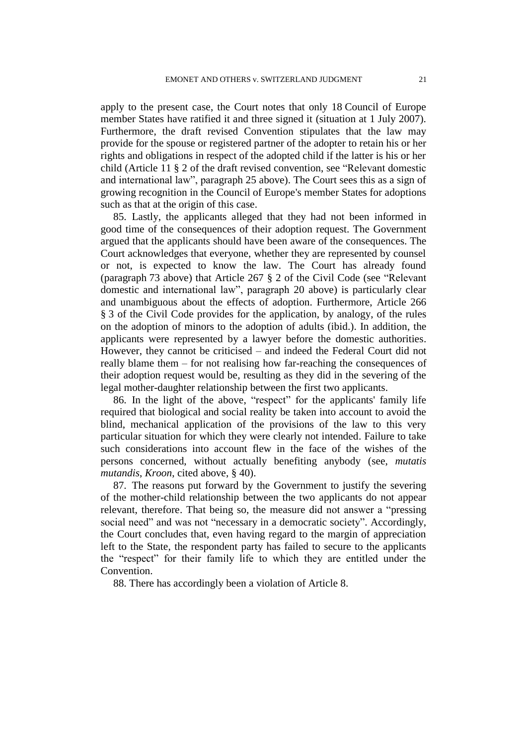apply to the present case, the Court notes that only 18 Council of Europe member States have ratified it and three signed it (situation at 1 July 2007). Furthermore, the draft revised Convention stipulates that the law may provide for the spouse or registered partner of the adopter to retain his or her rights and obligations in respect of the adopted child if the latter is his or her child (Article 11 § 2 of the draft revised convention, see "Relevant domestic and international law", paragraph 25 above). The Court sees this as a sign of growing recognition in the Council of Europe's member States for adoptions such as that at the origin of this case.

85. Lastly, the applicants alleged that they had not been informed in good time of the consequences of their adoption request. The Government argued that the applicants should have been aware of the consequences. The Court acknowledges that everyone, whether they are represented by counsel or not, is expected to know the law. The Court has already found (paragraph 73 above) that Article 267 § 2 of the Civil Code (see "Relevant domestic and international law", paragraph 20 above) is particularly clear and unambiguous about the effects of adoption. Furthermore, Article 266 § 3 of the Civil Code provides for the application, by analogy, of the rules on the adoption of minors to the adoption of adults (ibid.). In addition, the applicants were represented by a lawyer before the domestic authorities. However, they cannot be criticised – and indeed the Federal Court did not really blame them – for not realising how far-reaching the consequences of their adoption request would be, resulting as they did in the severing of the legal mother-daughter relationship between the first two applicants.

86. In the light of the above, "respect" for the applicants' family life required that biological and social reality be taken into account to avoid the blind, mechanical application of the provisions of the law to this very particular situation for which they were clearly not intended. Failure to take such considerations into account flew in the face of the wishes of the persons concerned, without actually benefiting anybody (see, *mutatis mutandis*, *Kroon*, cited above, § 40).

87. The reasons put forward by the Government to justify the severing of the mother-child relationship between the two applicants do not appear relevant, therefore. That being so, the measure did not answer a "pressing social need" and was not "necessary in a democratic society". Accordingly, the Court concludes that, even having regard to the margin of appreciation left to the State, the respondent party has failed to secure to the applicants the "respect" for their family life to which they are entitled under the Convention.

88. There has accordingly been a violation of Article 8.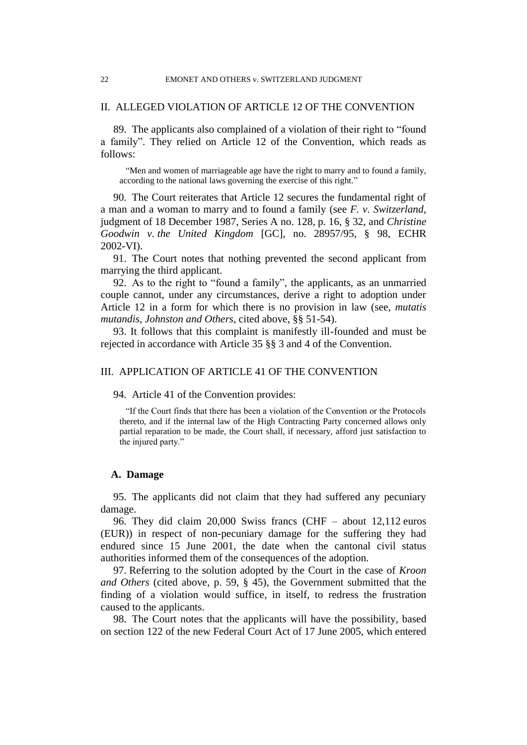### II. ALLEGED VIOLATION OF ARTICLE 12 OF THE CONVENTION

89. The applicants also complained of a violation of their right to "found a family". They relied on Article 12 of the Convention, which reads as follows:

"Men and women of marriageable age have the right to marry and to found a family, according to the national laws governing the exercise of this right."

90. The Court reiterates that Article 12 secures the fundamental right of a man and a woman to marry and to found a family (see *F. v. Switzerland*, judgment of 18 December 1987, Series A no. 128, p. 16, § 32, and *Christine Goodwin v. the United Kingdom* [GC], no. 28957/95, § 98, ECHR 2002-VI).

91. The Court notes that nothing prevented the second applicant from marrying the third applicant.

92. As to the right to "found a family", the applicants, as an unmarried couple cannot, under any circumstances, derive a right to adoption under Article 12 in a form for which there is no provision in law (see, *mutatis mutandis*, *Johnston and Others*, cited above, §§ 51-54).

93. It follows that this complaint is manifestly ill-founded and must be rejected in accordance with Article 35 §§ 3 and 4 of the Convention.

#### III. APPLICATION OF ARTICLE 41 OF THE CONVENTION

94. Article 41 of the Convention provides:

"If the Court finds that there has been a violation of the Convention or the Protocols thereto, and if the internal law of the High Contracting Party concerned allows only partial reparation to be made, the Court shall, if necessary, afford just satisfaction to the injured party."

#### **A. Damage**

95. The applicants did not claim that they had suffered any pecuniary damage.

96. They did claim 20,000 Swiss francs (CHF – about 12,112 euros (EUR)) in respect of non-pecuniary damage for the suffering they had endured since 15 June 2001, the date when the cantonal civil status authorities informed them of the consequences of the adoption.

97. Referring to the solution adopted by the Court in the case of *Kroon and Others* (cited above, p. 59, § 45), the Government submitted that the finding of a violation would suffice, in itself, to redress the frustration caused to the applicants.

98. The Court notes that the applicants will have the possibility, based on section 122 of the new Federal Court Act of 17 June 2005, which entered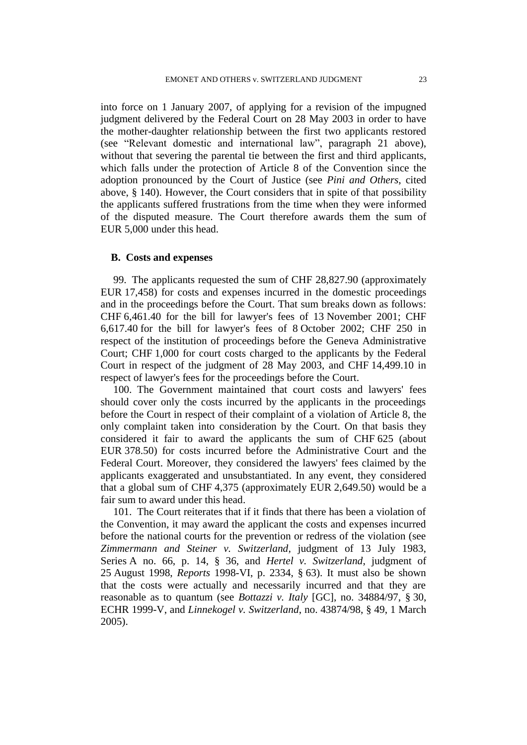into force on 1 January 2007, of applying for a revision of the impugned judgment delivered by the Federal Court on 28 May 2003 in order to have the mother-daughter relationship between the first two applicants restored (see "Relevant domestic and international law", paragraph 21 above), without that severing the parental tie between the first and third applicants, which falls under the protection of Article 8 of the Convention since the adoption pronounced by the Court of Justice (see *Pini and Others*, cited above, § 140). However, the Court considers that in spite of that possibility the applicants suffered frustrations from the time when they were informed of the disputed measure. The Court therefore awards them the sum of EUR 5,000 under this head.

### **B. Costs and expenses**

99. The applicants requested the sum of CHF 28,827.90 (approximately EUR 17,458) for costs and expenses incurred in the domestic proceedings and in the proceedings before the Court. That sum breaks down as follows: CHF 6,461.40 for the bill for lawyer's fees of 13 November 2001; CHF 6,617.40 for the bill for lawyer's fees of 8 October 2002; CHF 250 in respect of the institution of proceedings before the Geneva Administrative Court; CHF 1,000 for court costs charged to the applicants by the Federal Court in respect of the judgment of 28 May 2003, and CHF 14,499.10 in respect of lawyer's fees for the proceedings before the Court.

100. The Government maintained that court costs and lawyers' fees should cover only the costs incurred by the applicants in the proceedings before the Court in respect of their complaint of a violation of Article 8, the only complaint taken into consideration by the Court. On that basis they considered it fair to award the applicants the sum of CHF 625 (about EUR 378.50) for costs incurred before the Administrative Court and the Federal Court. Moreover, they considered the lawyers' fees claimed by the applicants exaggerated and unsubstantiated. In any event, they considered that a global sum of CHF 4,375 (approximately EUR 2,649.50) would be a fair sum to award under this head.

101. The Court reiterates that if it finds that there has been a violation of the Convention, it may award the applicant the costs and expenses incurred before the national courts for the prevention or redress of the violation (see *Zimmermann and Steiner v. Switzerland*, judgment of 13 July 1983, Series A no. 66, p. 14, § 36, and *Hertel v. Switzerland*, judgment of 25 August 1998, *Reports* 1998-VI, p. 2334, § 63). It must also be shown that the costs were actually and necessarily incurred and that they are reasonable as to quantum (see *Bottazzi v. Italy* [GC], no. 34884/97, § 30, ECHR 1999-V, and *Linnekogel v. Switzerland*, no. 43874/98, § 49, 1 March 2005).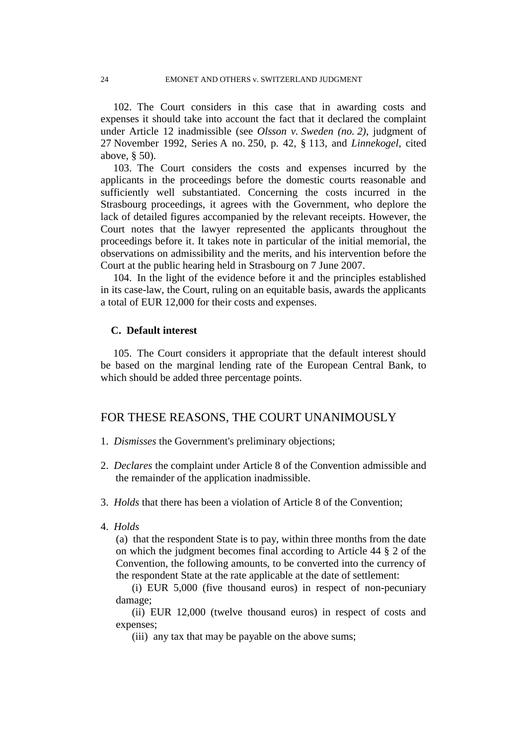102. The Court considers in this case that in awarding costs and expenses it should take into account the fact that it declared the complaint under Article 12 inadmissible (see *Olsson v. Sweden (no. 2)*, judgment of 27 November 1992, Series A no. 250, p. 42, § 113, and *Linnekogel,* cited above, § 50).

103. The Court considers the costs and expenses incurred by the applicants in the proceedings before the domestic courts reasonable and sufficiently well substantiated. Concerning the costs incurred in the Strasbourg proceedings, it agrees with the Government, who deplore the lack of detailed figures accompanied by the relevant receipts. However, the Court notes that the lawyer represented the applicants throughout the proceedings before it. It takes note in particular of the initial memorial, the observations on admissibility and the merits, and his intervention before the Court at the public hearing held in Strasbourg on 7 June 2007.

104. In the light of the evidence before it and the principles established in its case-law, the Court, ruling on an equitable basis, awards the applicants a total of EUR 12,000 for their costs and expenses.

#### **C. Default interest**

105. The Court considers it appropriate that the default interest should be based on the marginal lending rate of the European Central Bank, to which should be added three percentage points.

# FOR THESE REASONS, THE COURT UNANIMOUSLY

- 1. *Dismisses* the Government's preliminary objections;
- 2. *Declares* the complaint under Article 8 of the Convention admissible and the remainder of the application inadmissible.
- 3. *Holds* that there has been a violation of Article 8 of the Convention;
- 4. *Holds*

(a) that the respondent State is to pay, within three months from the date on which the judgment becomes final according to Article 44 § 2 of the Convention, the following amounts, to be converted into the currency of the respondent State at the rate applicable at the date of settlement:

(i) EUR 5,000 (five thousand euros) in respect of non-pecuniary damage;

(ii) EUR 12,000 (twelve thousand euros) in respect of costs and expenses;

(iii) any tax that may be payable on the above sums;